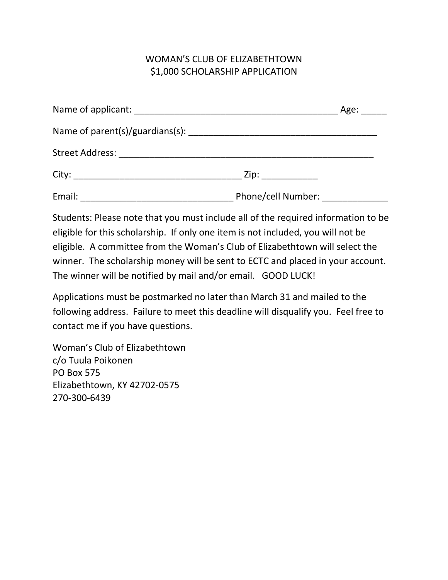## WOMAN'S CLUB OF ELIZABETHTOWN \$1,000 SCHOLARSHIP APPLICATION

|        |                               | Age: |
|--------|-------------------------------|------|
|        |                               |      |
|        |                               |      |
|        | Zip: _____________            |      |
| Email: | Phone/cell Number: __________ |      |

Students: Please note that you must include all of the required information to be eligible for this scholarship. If only one item is not included, you will not be eligible. A committee from the Woman's Club of Elizabethtown will select the winner. The scholarship money will be sent to ECTC and placed in your account. The winner will be notified by mail and/or email. GOOD LUCK!

Applications must be postmarked no later than March 31 and mailed to the following address. Failure to meet this deadline will disqualify you. Feel free to contact me if you have questions.

Woman's Club of Elizabethtown c/o Tuula Poikonen PO Box 575 Elizabethtown, KY 42702-0575 270-300-6439